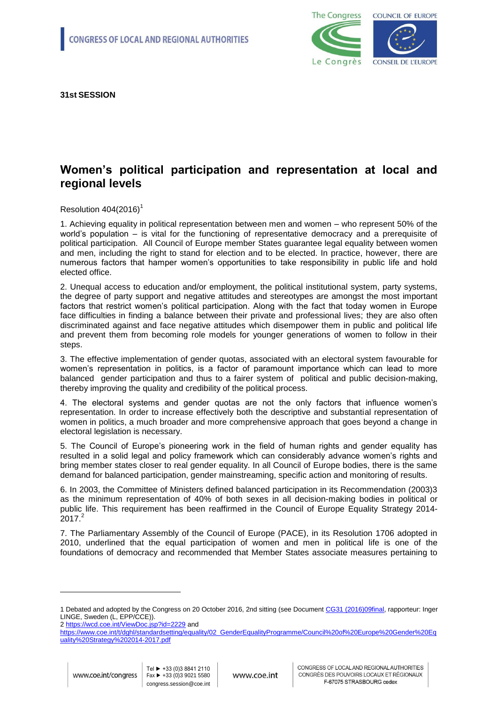

**31st SESSION**

## **Women's political participation and representation at local and regional levels**

Resolution  $404(2016)^1$ 

1. Achieving equality in political representation between men and women – who represent 50% of the world's population – is vital for the functioning of representative democracy and a prerequisite of political participation. All Council of Europe member States guarantee legal equality between women and men, including the right to stand for election and to be elected. In practice, however, there are numerous factors that hamper women's opportunities to take responsibility in public life and hold elected office.

2. Unequal access to education and/or employment, the political institutional system, party systems, the degree of party support and negative attitudes and stereotypes are amongst the most important factors that restrict women's political participation. Along with the fact that today women in Europe face difficulties in finding a balance between their private and professional lives; they are also often discriminated against and face negative attitudes which disempower them in public and political life and prevent them from becoming role models for younger generations of women to follow in their steps.

3. The effective implementation of gender quotas, associated with an electoral system favourable for women's representation in politics, is a factor of paramount importance which can lead to more balanced gender participation and thus to a fairer system of political and public decision-making, thereby improving the quality and credibility of the political process.

4. The electoral systems and gender quotas are not the only factors that influence women's representation. In order to increase effectively both the descriptive and substantial representation of women in politics, a much broader and more comprehensive approach that goes beyond a change in electoral legislation is necessary.

5. The Council of Europe's pioneering work in the field of human rights and gender equality has resulted in a solid legal and policy framework which can considerably advance women's rights and bring member states closer to real gender equality. In all Council of Europe bodies, there is the same demand for balanced participation, gender mainstreaming, specific action and monitoring of results.

6. In 2003, the Committee of Ministers defined balanced participation in its Recommendation (2003)3 as the minimum representation of 40% of both sexes in all decision-making bodies in political or public life. This requirement has been reaffirmed in the Council of Europe Equality Strategy 2014- 2017.<sup>2</sup>

7. The Parliamentary Assembly of the Council of Europe (PACE), in its Resolution 1706 adopted in 2010, underlined that the equal participation of women and men in political life is one of the foundations of democracy and recommended that Member States associate measures pertaining to

-

<sup>1</sup> Debated and adopted by the Congress on 20 October 2016, 2nd sitting (see Documen[t CG31 \(2016\)09final,](https://wcd.coe.int/ViewDoc.jsp?p=&Ref=CG31(2016)09FINAL&Language=lanEnglish&Ver=original&Site=COE&BackColorInternet=C3C3C3&BackColorIntranet=CACC9A&BackColorLogged=EFEA9C&direct=true) rapporteur: Inger LINGE, Sweden (L, EPP/CCE)).

<sup>2</sup> <https://wcd.coe.int/ViewDoc.jsp?id=2229> and

[https://www.coe.int/t/dghl/standardsetting/equality/02\\_GenderEqualityProgramme/Council%20of%20Europe%20Gender%20Eq](https://www.coe.int/t/dghl/standardsetting/equality/02_GenderEqualityProgramme/Council%20of%20Europe%20Gender%20Equality%20Strategy%202014-2017.pdf) [uality%20Strategy%202014-2017.pdf](https://www.coe.int/t/dghl/standardsetting/equality/02_GenderEqualityProgramme/Council%20of%20Europe%20Gender%20Equality%20Strategy%202014-2017.pdf)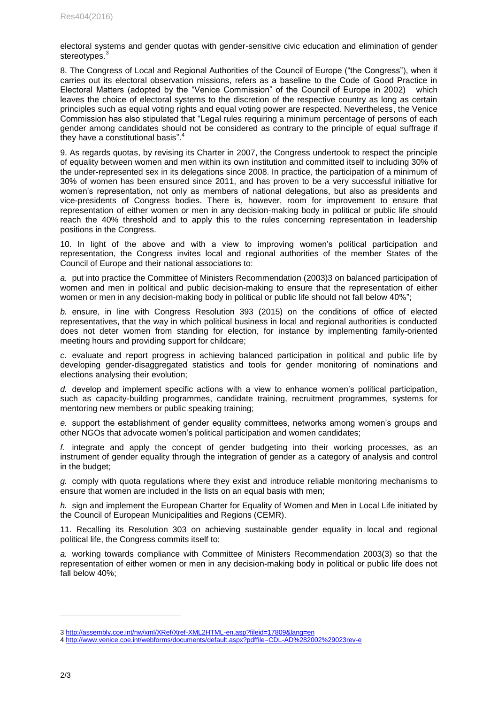electoral systems and gender quotas with gender-sensitive civic education and elimination of gender stereotypes.<sup>3</sup>

8. The Congress of Local and Regional Authorities of the Council of Europe ("the Congress"), when it carries out its electoral observation missions, refers as a baseline to the Code of Good Practice in Electoral Matters (adopted by the "Venice Commission" of the Council of Europe in 2002) which leaves the choice of electoral systems to the discretion of the respective country as long as certain principles such as equal voting rights and equal voting power are respected. Nevertheless, the Venice Commission has also stipulated that "Legal rules requiring a minimum percentage of persons of each gender among candidates should not be considered as contrary to the principle of equal suffrage if they have a constitutional basis".<sup>4</sup>

9. As regards quotas, by revising its Charter in 2007, the Congress undertook to respect the principle of equality between women and men within its own institution and committed itself to including 30% of the under-represented sex in its delegations since 2008. In practice, the participation of a minimum of 30% of women has been ensured since 2011, and has proven to be a very successful initiative for women's representation, not only as members of national delegations, but also as presidents and vice-presidents of Congress bodies. There is, however, room for improvement to ensure that representation of either women or men in any decision-making body in political or public life should reach the 40% threshold and to apply this to the rules concerning representation in leadership positions in the Congress.

10. In light of the above and with a view to improving women's political participation and representation, the Congress invites local and regional authorities of the member States of the Council of Europe and their national associations to:

*a.* put into practice the Committee of Ministers Recommendation (2003)3 on balanced participation of women and men in political and public decision-making to ensure that the representation of either women or men in any decision-making body in political or public life should not fall below 40%";

*b.* ensure, in line with Congress Resolution 393 (2015) on the conditions of office of elected representatives, that the way in which political business in local and regional authorities is conducted does not deter women from standing for election, for instance by implementing family-oriented meeting hours and providing support for childcare;

*c.* evaluate and report progress in achieving balanced participation in political and public life by developing gender-disaggregated statistics and tools for gender monitoring of nominations and elections analysing their evolution;

*d.* develop and implement specific actions with a view to enhance women's political participation, such as capacity-building programmes, candidate training, recruitment programmes, systems for mentoring new members or public speaking training;

*e.* support the establishment of gender equality committees, networks among women's groups and other NGOs that advocate women's political participation and women candidates;

*f.* integrate and apply the concept of gender budgeting into their working processes, as an instrument of gender equality through the integration of gender as a category of analysis and control in the budget;

*g.* comply with quota regulations where they exist and introduce reliable monitoring mechanisms to ensure that women are included in the lists on an equal basis with men;

*h.* sign and implement the European Charter for Equality of Women and Men in Local Life initiated by the Council of European Municipalities and Regions (CEMR).

11. Recalling its Resolution 303 on achieving sustainable gender equality in local and regional political life, the Congress commits itself to:

*a.* working towards compliance with Committee of Ministers Recommendation 2003(3) so that the representation of either women or men in any decision-making body in political or public life does not fall below 40%;

-

<sup>3</sup> <http://assembly.coe.int/nw/xml/XRef/Xref-XML2HTML-en.asp?fileid=17809&lang=en>

<sup>4</sup> <http://www.venice.coe.int/webforms/documents/default.aspx?pdffile=CDL-AD%282002%29023rev-e>